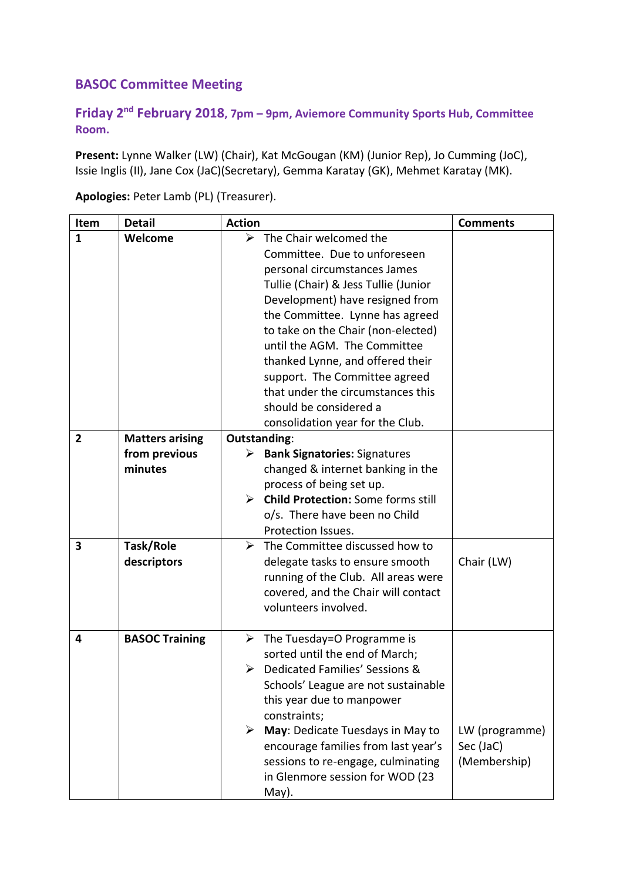## **BASOC Committee Meeting**

## **Friday 2nd February 2018, 7pm – 9pm, Aviemore Community Sports Hub, Committee Room.**

**Present:** Lynne Walker (LW) (Chair), Kat McGougan (KM) (Junior Rep), Jo Cumming (JoC), Issie Inglis (II), Jane Cox (JaC)(Secretary), Gemma Karatay (GK), Mehmet Karatay (MK).

| Item           | <b>Detail</b>          | <b>Action</b>                                                    | <b>Comments</b> |
|----------------|------------------------|------------------------------------------------------------------|-----------------|
| 1              | Welcome                | $\blacktriangleright$<br>The Chair welcomed the                  |                 |
|                |                        | Committee. Due to unforeseen                                     |                 |
|                |                        | personal circumstances James                                     |                 |
|                |                        | Tullie (Chair) & Jess Tullie (Junior                             |                 |
|                |                        | Development) have resigned from                                  |                 |
|                |                        | the Committee. Lynne has agreed                                  |                 |
|                |                        | to take on the Chair (non-elected)                               |                 |
|                |                        | until the AGM. The Committee                                     |                 |
|                |                        | thanked Lynne, and offered their                                 |                 |
|                |                        | support. The Committee agreed                                    |                 |
|                |                        | that under the circumstances this                                |                 |
|                |                        | should be considered a                                           |                 |
|                |                        | consolidation year for the Club.                                 |                 |
| $\overline{2}$ | <b>Matters arising</b> | Outstanding:                                                     |                 |
|                | from previous          | <b>Bank Signatories: Signatures</b><br>➤                         |                 |
|                | minutes                | changed & internet banking in the                                |                 |
|                |                        | process of being set up.<br>> Child Protection: Some forms still |                 |
|                |                        |                                                                  |                 |
|                |                        | o/s. There have been no Child<br>Protection Issues.              |                 |
| 3              | Task/Role              | The Committee discussed how to<br>$\blacktriangleright$          |                 |
|                | descriptors            | delegate tasks to ensure smooth                                  | Chair (LW)      |
|                |                        | running of the Club. All areas were                              |                 |
|                |                        | covered, and the Chair will contact                              |                 |
|                |                        | volunteers involved.                                             |                 |
|                |                        |                                                                  |                 |
| 4              | <b>BASOC Training</b>  | The Tuesday=O Programme is<br>➤                                  |                 |
|                |                        | sorted until the end of March;                                   |                 |
|                |                        | ▶ Dedicated Families' Sessions &                                 |                 |
|                |                        | Schools' League are not sustainable                              |                 |
|                |                        | this year due to manpower                                        |                 |
|                |                        | constraints;                                                     |                 |
|                |                        | $\triangleright$ May: Dedicate Tuesdays in May to                | LW (programme)  |
|                |                        | encourage families from last year's                              | Sec (JaC)       |
|                |                        | sessions to re-engage, culminating                               | (Membership)    |
|                |                        | in Glenmore session for WOD (23                                  |                 |
|                |                        | May).                                                            |                 |

**Apologies:** Peter Lamb (PL) (Treasurer).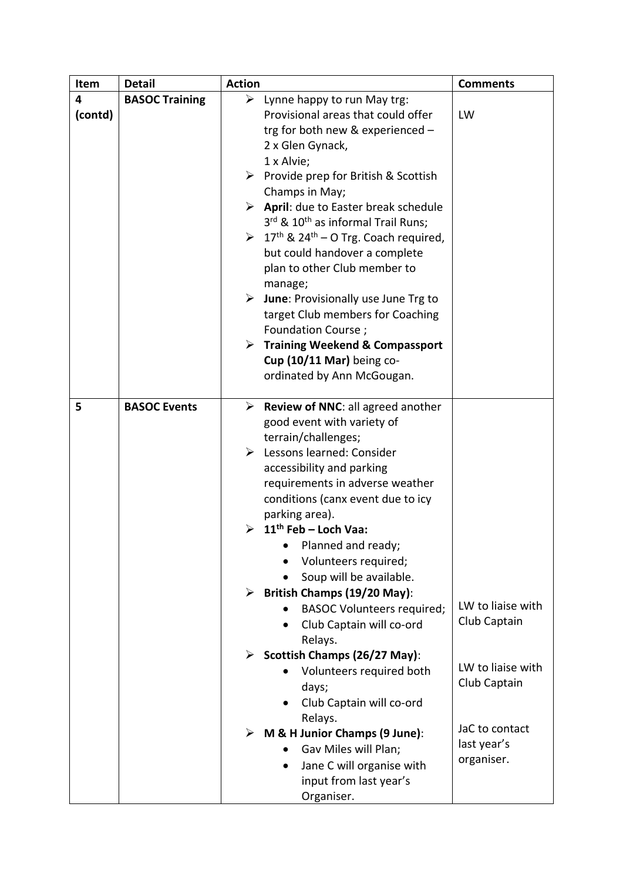| Item    | <b>Detail</b>         | <b>Action</b>                                                       | <b>Comments</b>   |
|---------|-----------------------|---------------------------------------------------------------------|-------------------|
| 4       | <b>BASOC Training</b> | $\triangleright$ Lynne happy to run May trg:                        |                   |
| (contd) |                       | Provisional areas that could offer                                  | LW                |
|         |                       | trg for both new & experienced -                                    |                   |
|         |                       | 2 x Glen Gynack,                                                    |                   |
|         |                       | 1 x Alvie;                                                          |                   |
|         |                       | ▶ Provide prep for British & Scottish                               |                   |
|         |                       | Champs in May;                                                      |                   |
|         |                       | $\triangleright$ April: due to Easter break schedule                |                   |
|         |                       | 3rd & 10 <sup>th</sup> as informal Trail Runs;                      |                   |
|         |                       | $\geq 17$ <sup>th</sup> & 24 <sup>th</sup> – O Trg. Coach required, |                   |
|         |                       | but could handover a complete                                       |                   |
|         |                       | plan to other Club member to                                        |                   |
|         |                       | manage;                                                             |                   |
|         |                       | $\triangleright$ June: Provisionally use June Trg to                |                   |
|         |                       | target Club members for Coaching                                    |                   |
|         |                       | Foundation Course;                                                  |                   |
|         |                       | <b>Training Weekend &amp; Compassport</b><br>➤                      |                   |
|         |                       | Cup (10/11 Mar) being co-                                           |                   |
|         |                       | ordinated by Ann McGougan.                                          |                   |
|         |                       |                                                                     |                   |
| 5       | <b>BASOC Events</b>   | Review of NNC: all agreed another<br>➤                              |                   |
|         |                       | good event with variety of                                          |                   |
|         |                       | terrain/challenges;                                                 |                   |
|         |                       | $\triangleright$ Lessons learned: Consider                          |                   |
|         |                       | accessibility and parking                                           |                   |
|         |                       | requirements in adverse weather                                     |                   |
|         |                       | conditions (canx event due to icy                                   |                   |
|         |                       | parking area).                                                      |                   |
|         |                       | $\geq 11^{\text{th}}$ Feb - Loch Vaa:                               |                   |
|         |                       | Planned and ready;                                                  |                   |
|         |                       | Volunteers required;                                                |                   |
|         |                       | Soup will be available.                                             |                   |
|         |                       | $\triangleright$ British Champs (19/20 May):                        |                   |
|         |                       | <b>BASOC Volunteers required;</b>                                   | LW to liaise with |
|         |                       | Club Captain will co-ord                                            | Club Captain      |
|         |                       | Relays.                                                             |                   |
|         |                       | $\triangleright$ Scottish Champs (26/27 May):                       |                   |
|         |                       | Volunteers required both                                            | LW to liaise with |
|         |                       | days;                                                               | Club Captain      |
|         |                       | Club Captain will co-ord                                            |                   |
|         |                       | Relays.                                                             |                   |
|         |                       | $\triangleright$ M & H Junior Champs (9 June):                      | JaC to contact    |
|         |                       | Gav Miles will Plan;                                                | last year's       |
|         |                       | Jane C will organise with                                           | organiser.        |
|         |                       | input from last year's                                              |                   |
|         |                       | Organiser.                                                          |                   |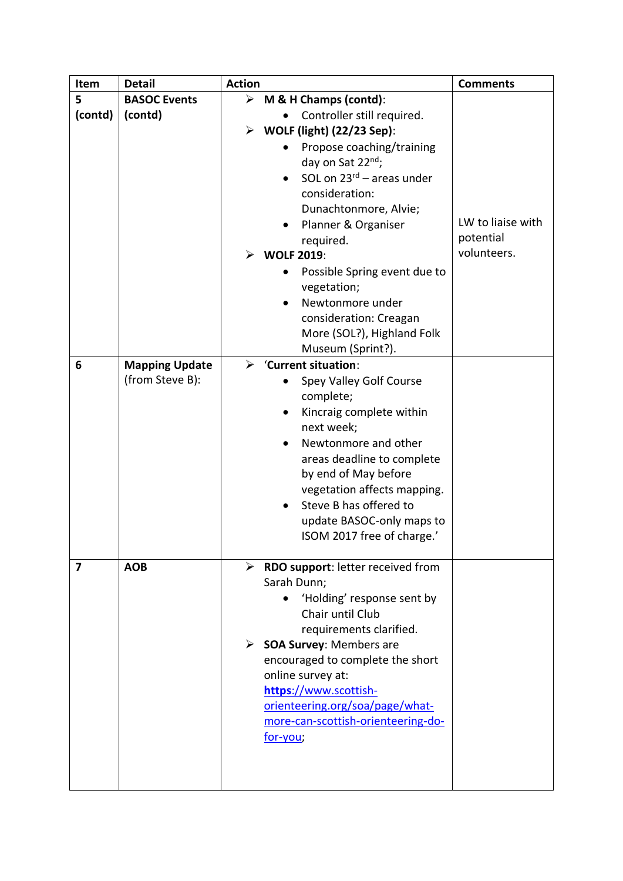| Item                    | <b>Detail</b>                            | <b>Action</b>                                                                                                                                                                                                                                                                                                                                                                                                                                          | <b>Comments</b>                               |
|-------------------------|------------------------------------------|--------------------------------------------------------------------------------------------------------------------------------------------------------------------------------------------------------------------------------------------------------------------------------------------------------------------------------------------------------------------------------------------------------------------------------------------------------|-----------------------------------------------|
| 5                       | <b>BASOC Events</b>                      | $\triangleright$ M & H Champs (contd):                                                                                                                                                                                                                                                                                                                                                                                                                 |                                               |
| (contd)                 | (contd)                                  | Controller still required.<br>$\triangleright$ WOLF (light) (22/23 Sep):<br>Propose coaching/training<br>day on Sat 22nd;<br>SOL on $23^{rd}$ – areas under<br>$\bullet$<br>consideration:<br>Dunachtonmore, Alvie;<br>Planner & Organiser<br>required.<br><b>WOLF 2019:</b><br>Possible Spring event due to<br>$\bullet$<br>vegetation;<br>Newtonmore under<br>$\bullet$<br>consideration: Creagan<br>More (SOL?), Highland Folk<br>Museum (Sprint?). | LW to liaise with<br>potential<br>volunteers. |
| 6                       | <b>Mapping Update</b><br>(from Steve B): | 'Current situation:<br>≻<br>Spey Valley Golf Course<br>complete;<br>Kincraig complete within<br>$\bullet$<br>next week;<br>Newtonmore and other<br>$\bullet$<br>areas deadline to complete<br>by end of May before<br>vegetation affects mapping.<br>Steve B has offered to<br>update BASOC-only maps to<br>ISOM 2017 free of charge.'                                                                                                                 |                                               |
| $\overline{\mathbf{z}}$ | <b>AOB</b>                               | $\triangleright$ RDO support: letter received from<br>Sarah Dunn;<br>'Holding' response sent by<br>$\bullet$<br>Chair until Club<br>requirements clarified.<br>$\triangleright$ SOA Survey: Members are<br>encouraged to complete the short<br>online survey at:<br>https://www.scottish-<br>orienteering.org/soa/page/what-<br>more-can-scottish-orienteering-do-<br>for-you;                                                                         |                                               |